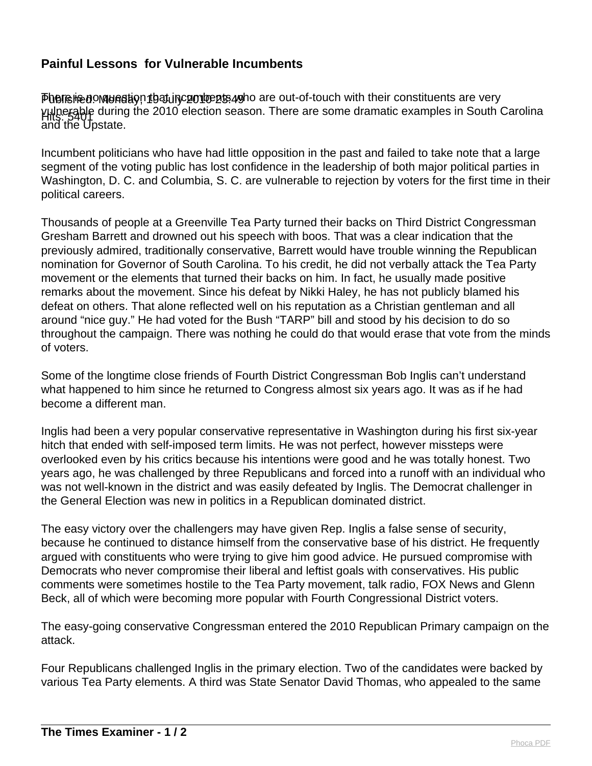## **Painful Lessons for Vulnerable Incumbents**

Phereined. Mondered and that incumbent are out-of-touch with their constituents are very Hits: 5401 vulnerable during the 2010 election season. There are some dramatic examples in South Carolina Fills. 549<br>and the Upstate.

Incumbent politicians who have had little opposition in the past and failed to take note that a large segment of the voting public has lost confidence in the leadership of both major political parties in Washington, D. C. and Columbia, S. C. are vulnerable to rejection by voters for the first time in their political careers.

Thousands of people at a Greenville Tea Party turned their backs on Third District Congressman Gresham Barrett and drowned out his speech with boos. That was a clear indication that the previously admired, traditionally conservative, Barrett would have trouble winning the Republican nomination for Governor of South Carolina. To his credit, he did not verbally attack the Tea Party movement or the elements that turned their backs on him. In fact, he usually made positive remarks about the movement. Since his defeat by Nikki Haley, he has not publicly blamed his defeat on others. That alone reflected well on his reputation as a Christian gentleman and all around "nice guy." He had voted for the Bush "TARP" bill and stood by his decision to do so throughout the campaign. There was nothing he could do that would erase that vote from the minds of voters.

Some of the longtime close friends of Fourth District Congressman Bob Inglis can't understand what happened to him since he returned to Congress almost six years ago. It was as if he had become a different man.

Inglis had been a very popular conservative representative in Washington during his first six-year hitch that ended with self-imposed term limits. He was not perfect, however missteps were overlooked even by his critics because his intentions were good and he was totally honest. Two years ago, he was challenged by three Republicans and forced into a runoff with an individual who was not well-known in the district and was easily defeated by Inglis. The Democrat challenger in the General Election was new in politics in a Republican dominated district.

The easy victory over the challengers may have given Rep. Inglis a false sense of security, because he continued to distance himself from the conservative base of his district. He frequently argued with constituents who were trying to give him good advice. He pursued compromise with Democrats who never compromise their liberal and leftist goals with conservatives. His public comments were sometimes hostile to the Tea Party movement, talk radio, FOX News and Glenn Beck, all of which were becoming more popular with Fourth Congressional District voters.

The easy-going conservative Congressman entered the 2010 Republican Primary campaign on the attack.

Four Republicans challenged Inglis in the primary election. Two of the candidates were backed by various Tea Party elements. A third was State Senator David Thomas, who appealed to the same